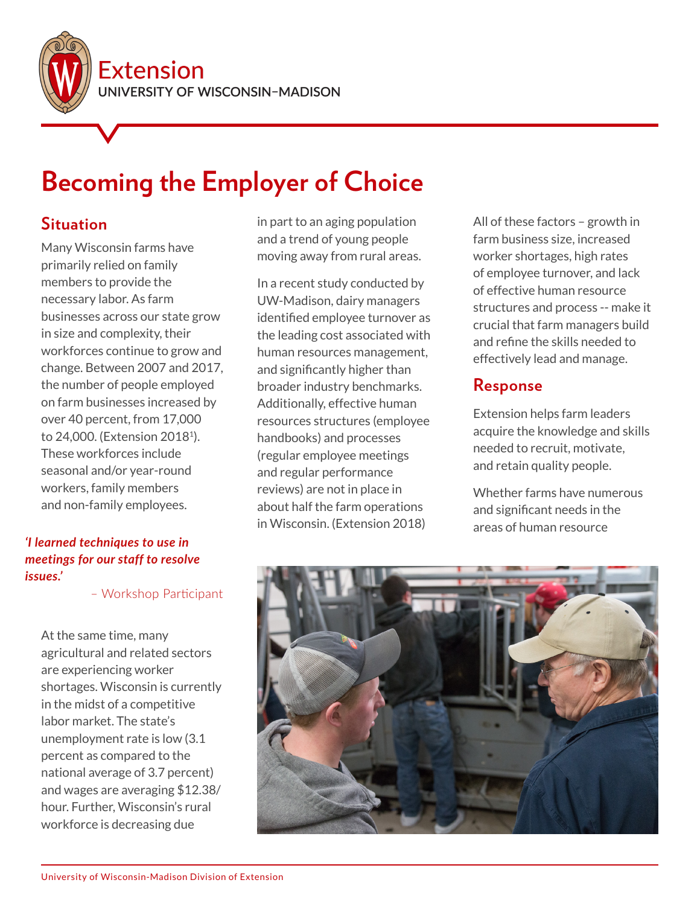

# **Becoming the Employer of Choice**

#### **Situation**

Many Wisconsin farms have primarily relied on family members to provide the necessary labor. As farm businesses across our state grow in size and complexity, their workforces continue to grow and change. Between 2007 and 2017, the number of people employed on farm businesses increased by over 40 percent, from 17,000 to 24,000. (Extension 20181). These workforces include seasonal and/or year-round workers, family members and non-family employees.

#### *'I learned techniques to use in meetings for our staff to resolve issues.'*

– Workshop Participant

At the same time, many agricultural and related sectors are experiencing worker shortages. Wisconsin is currently in the midst of a competitive labor market. The state's unemployment rate is low (3.1 percent as compared to the national average of 3.7 percent) and wages are averaging \$12.38/ hour. Further, Wisconsin's rural workforce is decreasing due

in part to an aging population and a trend of young people moving away from rural areas.

In a recent study conducted by UW-Madison, dairy managers identified employee turnover as the leading cost associated with human resources management, and significantly higher than broader industry benchmarks. Additionally, effective human resources structures (employee handbooks) and processes (regular employee meetings and regular performance reviews) are not in place in about half the farm operations in Wisconsin. (Extension 2018)

All of these factors – growth in farm business size, increased worker shortages, high rates of employee turnover, and lack of effective human resource structures and process -- make it crucial that farm managers build and refine the skills needed to effectively lead and manage.

## **Response**

Extension helps farm leaders acquire the knowledge and skills needed to recruit, motivate, and retain quality people.

Whether farms have numerous and significant needs in the areas of human resource